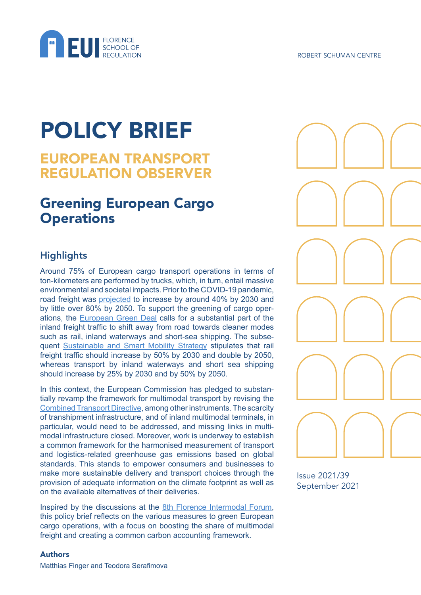

# POLICY BRIEF

# EUROPEAN TRANSPORT REGULATION OBSERVER

# Greening European Cargo **Operations**

# **Highlights**

Around 75% of European cargo transport operations in terms of ton-kilometers are performed by trucks, which, in turn, entail massive environmental and societal impacts. Prior to the COVID-19 pandemic, road freight was [projected](https://ec.europa.eu/transport/themes/logistics-and-multimodal-transport/multimodal-and-combined-transport_en) to increase by around 40% by 2030 and by little over 80% by 2050. To support the greening of cargo operations, the [European Green Deal](https://ec.europa.eu/info/strategy/priorities-2019-2024/european-green-deal_en) calls for a substantial part of the inland freight traffic to shift away from road towards cleaner modes such as rail, inland waterways and short-sea shipping. The subsequent [Sustainable and Smart Mobility Strategy](https://ec.europa.eu/transport/sites/transport/files/legislation/com20200789.pdf) stipulates that rail freight traffic should increase by 50% by 2030 and double by 2050, whereas transport by inland waterways and short sea shipping should increase by 25% by 2030 and by 50% by 2050.

In this context, the European Commission has pledged to substantially revamp the framework for multimodal transport by revising the [Combined Transport Directive,](https://ec.europa.eu/transport/themes/logistics-and-multimodal-transport/multimodal-and-combined-transport_en) among other instruments. The scarcity of transhipment infrastructure, and of inland multimodal terminals, in particular, would need to be addressed, and missing links in multimodal infrastructure closed. Moreover, work is underway to establish a common framework for the harmonised measurement of transport and logistics-related greenhouse gas emissions based on global standards. This stands to empower consumers and businesses to make more sustainable delivery and transport choices through the provision of adequate information on the climate footprint as well as on the available alternatives of their deliveries.

Inspired by the discussions at the [8th Florence Intermodal Forum](https://fsr.eui.eu/event/8th-florence-intermodal-forum-greening-european-cargo-operations/), this policy brief reflects on the various measures to green European cargo operations, with a focus on boosting the share of multimodal freight and creating a common carbon accounting framework.



Issue 2021/39 September 2021

#### Authors

Matthias Finger and Teodora Serafimova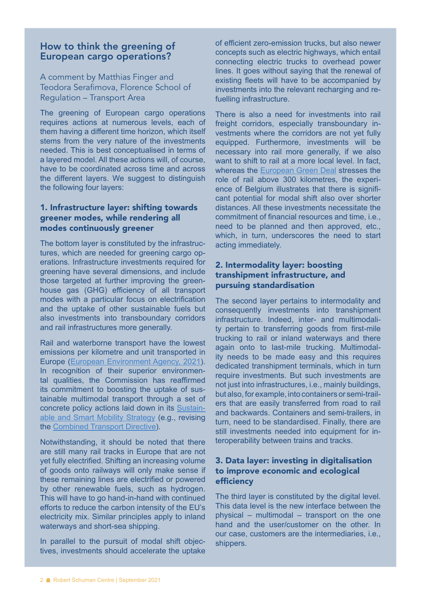# How to think the greening of European cargo operations?

A comment by Matthias Finger and Teodora Serafimova, Florence School of Regulation – Transport Area

The greening of European cargo operations requires actions at numerous levels, each of them having a different time horizon, which itself stems from the very nature of the investments needed. This is best conceptualised in terms of a layered model. All these actions will, of course, have to be coordinated across time and across the different layers. We suggest to distinguish the following four layers:

# 1. Infrastructure layer: shifting towards greener modes, while rendering all modes continuously greener

The bottom layer is constituted by the infrastructures, which are needed for greening cargo operations. Infrastructure investments required for greening have several dimensions, and include those targeted at further improving the greenhouse gas (GHG) efficiency of all transport modes with a particular focus on electrification and the uptake of other sustainable fuels but also investments into transboundary corridors and rail infrastructures more generally.

Rail and waterborne transport have the lowest emissions per kilometre and unit transported in Europe ([European Environment Agency, 2021\)](https://www.eea.europa.eu/publications/rail-and-waterborne-transport). In recognition of their superior environmental qualities, the Commission has reaffirmed its commitment to boosting the uptake of sustainable multimodal transport through a set of concrete policy actions laid down in its [Sustain](https://ec.europa.eu/transport/sites/default/files/legislation/com20200789.pdf)[able and Smart Mobility Strategy](https://ec.europa.eu/transport/sites/default/files/legislation/com20200789.pdf) (e.g., revising the [Combined Transport Directive\)](https://ec.europa.eu/transport/themes/logistics-and-multimodal-transport/multimodal-and-combined-transport_en).

Notwithstanding, it should be noted that there are still many rail tracks in Europe that are not yet fully electrified. Shifting an increasing volume of goods onto railways will only make sense if these remaining lines are electrified or powered by other renewable fuels, such as hydrogen. This will have to go hand-in-hand with continued efforts to reduce the carbon intensity of the EU's electricity mix. Similar principles apply to inland waterways and short-sea shipping.

In parallel to the pursuit of modal shift objectives, investments should accelerate the uptake of efficient zero-emission trucks, but also newer concepts such as electric highways, which entail connecting electric trucks to overhead power lines. It goes without saying that the renewal of existing fleets will have to be accompanied by investments into the relevant recharging and refuelling infrastructure.

There is also a need for investments into rail freight corridors, especially transboundary investments where the corridors are not yet fully equipped. Furthermore, investments will be necessary into rail more generally, if we also want to shift to rail at a more local level. In fact, whereas the [European Green Deal](https://ec.europa.eu/info/sites/default/files/european-green-deal-communication_en.pdf) stresses the role of rail above 300 kilometres, the experience of Belgium illustrates that there is significant potential for modal shift also over shorter distances. All these investments necessitate the commitment of financial resources and time, i.e., need to be planned and then approved, etc., which, in turn, underscores the need to start acting immediately.

#### 2. Intermodality layer: boosting transhipment infrastructure, and pursuing standardisation

The second layer pertains to intermodality and consequently investments into transhipment infrastructure. Indeed, inter- and multimodality pertain to transferring goods from first-mile trucking to rail or inland waterways and there again onto to last-mile trucking. Multimodality needs to be made easy and this requires dedicated transhipment terminals, which in turn require investments. But such investments are not just into infrastructures, *i.e.*, mainly buildings, but also, for example, into containers or semi-trailers that are easily transferred from road to rail and backwards. Containers and semi-trailers, in turn, need to be standardised. Finally, there are still investments needed into equipment for interoperability between trains and tracks.

# 3. Data layer: investing in digitalisation to improve economic and ecological efficiency

The third layer is constituted by the digital level. This data level is the new interface between the physical – multimodal – transport on the one hand and the user/customer on the other. In our case, customers are the intermediaries, i.e., shippers.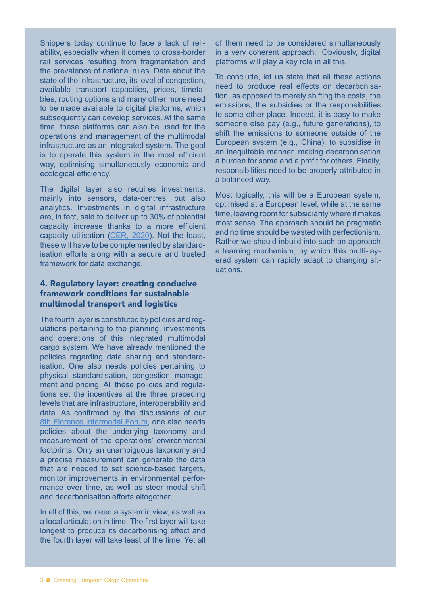Shippers today continue to face a lack of reliability, especially when it comes to cross-border rail services resulting from fragmentation and the prevalence of national rules. Data about the state of the infrastructure, its level of congestion, available transport capacities, prices, timetables, routing options and many other more need to be made available to digital platforms, which subsequently can develop services. At the same time, these platforms can also be used for the operations and management of the multimodal infrastructure as an integrated system. The goal is to operate this system in the most efficient way, optimising simultaneously economic and ecological efficiency.

The digital layer also requires investments, mainly into sensors, data-centres, but also analytics. Investments in digital infrastructure are, in fact, said to deliver up to 30% of potential capacity increase thanks to a more efficient capacity utilisation ([CER, 2020](https://fsr.eui.eu/wp-content/uploads/2021/01/1_Mazzola_CER-presentation.pdf)). Not the least, these will have to be complemented by standardisation efforts along with a secure and trusted framework for data exchange.

# 4. Regulatory layer: creating conducive framework conditions for sustainable multimodal transport and logistics

The fourth layer is constituted by policies and regulations pertaining to the planning, investments and operations of this integrated multimodal cargo system. We have already mentioned the policies regarding data sharing and standardisation. One also needs policies pertaining to physical standardisation, congestion management and pricing. All these policies and regulations set the incentives at the three preceding levels that are infrastructure, interoperability and data. As confirmed by the discussions of our [8th Florence Intermodal Forum,](https://fsr.eui.eu/event/8th-florence-intermodal-forum-greening-european-cargo-operations/) one also needs policies about the underlying taxonomy and measurement of the operations' environmental footprints. Only an unambiguous taxonomy and a precise measurement can generate the data that are needed to set science-based targets, monitor improvements in environmental performance over time, as well as steer modal shift and decarbonisation efforts altogether.

In all of this, we need a systemic view, as well as a local articulation in time. The first layer will take longest to produce its decarbonising effect and the fourth layer will take least of the time. Yet all

of them need to be considered simultaneously in a very coherent approach. Obviously, digital platforms will play a key role in all this.

To conclude, let us state that all these actions need to produce real effects on decarbonisation, as opposed to merely shifting the costs, the emissions, the subsidies or the responsibilities to some other place. Indeed, it is easy to make someone else pay (e.g., future generations), to shift the emissions to someone outside of the European system (e.g., China), to subsidise in an inequitable manner, making decarbonisation a burden for some and a profit for others. Finally, responsibilities need to be properly attributed in a balanced way.

Most logically, this will be a European system, optimised at a European level, while at the same time, leaving room for subsidiarity where it makes most sense. The approach should be pragmatic and no time should be wasted with perfectionism. Rather we should inbuild into such an approach a learning mechanism, by which this multi-layered system can rapidly adapt to changing situations.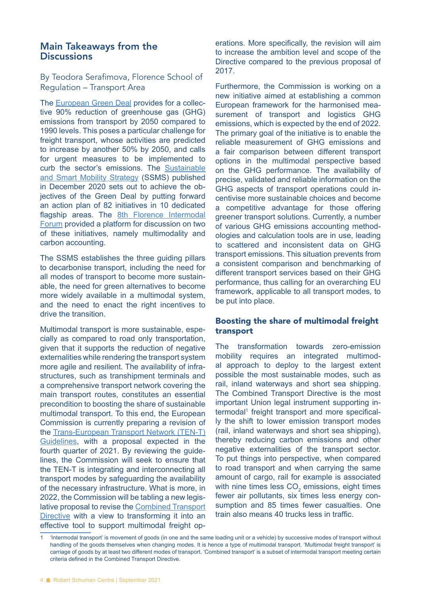# Main Takeaways from the **Discussions**

By Teodora Serafimova, Florence School of Regulation – Transport Area

The [European Green Deal](https://ec.europa.eu/info/sites/default/files/european-green-deal-communication_en.pdf) provides for a collective 90% reduction of greenhouse gas (GHG) emissions from transport by 2050 compared to 1990 levels. This poses a particular challenge for freight transport, whose activities are predicted to increase by another 50% by 2050, and calls for urgent measures to be implemented to curb the sector's emissions. The [Sustainable](https://ec.europa.eu/transport/sites/default/files/legislation/com20200789.pdf)  [and Smart Mobility Strategy](https://ec.europa.eu/transport/sites/default/files/legislation/com20200789.pdf) (SSMS) published in December 2020 sets out to achieve the objectives of the Green Deal by putting forward an action plan of 82 initiatives in 10 dedicated flagship areas. The [8th Florence Intermodal](https://fsr.eui.eu/event/8th-florence-intermodal-forum-greening-european-cargo-operations/)  [Forum](https://fsr.eui.eu/event/8th-florence-intermodal-forum-greening-european-cargo-operations/) provided a platform for discussion on two of these initiatives, namely multimodality and carbon accounting.

The SSMS establishes the three guiding pillars to decarbonise transport, including the need for all modes of transport to become more sustainable, the need for green alternatives to become more widely available in a multimodal system, and the need to enact the right incentives to drive the transition.

Multimodal transport is more sustainable, especially as compared to road only transportation, given that it supports the reduction of negative externalities while rendering the transport system more agile and resilient. The availability of infrastructures, such as transhipment terminals and a comprehensive transport network covering the main transport routes, constitutes an essential precondition to boosting the share of sustainable multimodal transport. To this end, the European Commission is currently preparing a revision of the [Trans-European Transport Network \(TEN-T\)](https://ec.europa.eu/info/law/better-regulation/have-your-say/initiatives/12532-Trans-European-transport-network-TEN-T-revised-guidelines/public-consultation_en)  [Guidelines](https://ec.europa.eu/info/law/better-regulation/have-your-say/initiatives/12532-Trans-European-transport-network-TEN-T-revised-guidelines/public-consultation_en), with a proposal expected in the fourth quarter of 2021. By reviewing the guidelines, the Commission will seek to ensure that the TEN-T is integrating and interconnecting all transport modes by safeguarding the availability of the necessary infrastructure. What is more, in 2022, the Commission will be tabling a new legislative proposal to revise the [Combined Transport](https://www.europarl.europa.eu/legislative-train/theme-a-european-green-deal/file-second-review-of-the-combined-transport-directive)  [Directive](https://www.europarl.europa.eu/legislative-train/theme-a-european-green-deal/file-second-review-of-the-combined-transport-directive) with a view to transforming it into an effective tool to support multimodal freight operations. More specifically, the revision will aim to increase the ambition level and scope of the Directive compared to the previous proposal of 2017.

Furthermore, the Commission is working on a new initiative aimed at establishing a common European framework for the harmonised measurement of transport and logistics GHG emissions, which is expected by the end of 2022. The primary goal of the initiative is to enable the reliable measurement of GHG emissions and a fair comparison between different transport options in the multimodal perspective based on the GHG performance. The availability of precise, validated and reliable information on the GHG aspects of transport operations could incentivise more sustainable choices and become a competitive advantage for those offering greener transport solutions. Currently, a number of various GHG emissions accounting methodologies and calculation tools are in use, leading to scattered and inconsistent data on GHG transport emissions. This situation prevents from a consistent comparison and benchmarking of different transport services based on their GHG performance, thus calling for an overarching EU framework, applicable to all transport modes, to be put into place.

#### Boosting the share of multimodal freight transport

The transformation towards zero-emission mobility requires an integrated multimodal approach to deploy to the largest extent possible the most sustainable modes, such as rail, inland waterways and short sea shipping. The [Combined Transport Directive](https://eur-lex.europa.eu/legal-content/EN/TXT/?uri=celex:31992L0106) is the most important Union legal instrument supporting intermodal<sup>1</sup> freight transport and more specifically the shift to lower emission transport modes (rail, inland waterways and short sea shipping), thereby reducing carbon emissions and other negative externalities of the transport sector. To put things into perspective, when compared to road transport and when carrying the same amount of cargo, rail for example is associated with nine times less  $CO<sub>2</sub>$  emissions, eight times fewer air pollutants, six times less energy consumption and 85 times fewer casualties. One train also means 40 trucks less in traffic.

<sup>1</sup> 'Intermodal transport' is movement of goods (in one and the same loading unit or a vehicle) by successive modes of transport without handling of the goods themselves when changing modes. It is hence a type of multimodal transport. 'Multimodal freight transport' is carriage of goods by at least two different modes of transport. 'Combined transport' is a subset of intermodal transport meeting certain criteria defined in the Combined Transport Directive.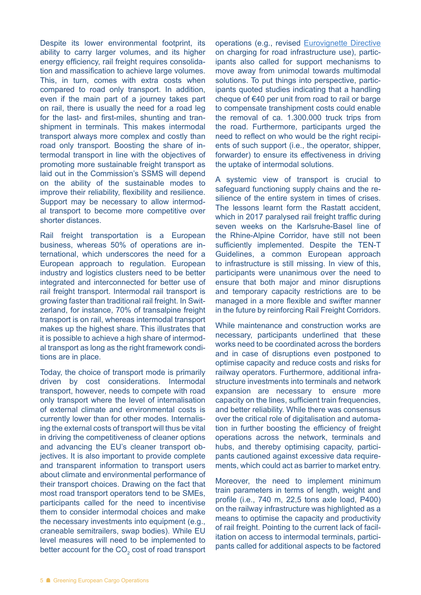Despite its lower environmental footprint, its ability to carry larger volumes, and its higher energy efficiency, rail freight requires consolidation and massification to achieve large volumes. This, in turn, comes with extra costs when compared to road only transport. In addition, even if the main part of a journey takes part on rail, there is usually the need for a road leg for the last- and first-miles, shunting and transhipment in terminals. This makes intermodal transport always more complex and costly than road only transport. Boosting the share of intermodal transport in line with the objectives of promoting more sustainable freight transport as laid out in the Commission's SSMS will depend on the ability of the sustainable modes to improve their reliability, flexibility and resilience. Support may be necessary to allow intermodal transport to become more competitive over shorter distances.

Rail freight transportation is a European business, whereas 50% of operations are international, which underscores the need for a European approach to regulation. European industry and logistics clusters need to be better integrated and interconnected for better use of rail freight transport. Intermodal rail transport is growing faster than traditional rail freight. In Switzerland, for instance, 70% of transalpine freight transport is on rail, whereas intermodal transport makes up the highest share. This illustrates that it is possible to achieve a high share of intermodal transport as long as the right framework conditions are in place.

Today, the choice of transport mode is primarily driven by cost considerations. Intermodal transport, however, needs to compete with road only transport where the level of internalisation of external climate and environmental costs is currently lower than for other modes. Internalising the external costs of transport will thus be vital in driving the competitiveness of cleaner options and advancing the EU's cleaner transport objectives. It is also important to provide complete and transparent information to transport users about climate and environmental performance of their transport choices. Drawing on the fact that most road transport operators tend to be SMEs, participants called for the need to incentivise them to consider intermodal choices and make the necessary investments into equipment (e.g., craneable semitrailers, swap bodies). While EU level measures will need to be implemented to better account for the CO<sub>2</sub> cost of road transport

operations (e.g., revised [Eurovignette Directive](https://ec.europa.eu/transport/modes/road/road_charging/charging_hgv_en) on charging for road infrastructure use), participants also called for support mechanisms to move away from unimodal towards multimodal solutions. To put things into perspective, participants quoted studies indicating that a handling cheque of  $€40$  per unit from road to rail or barge to compensate transhipment costs could enable the removal of ca. 1.300.000 truck trips from the road. Furthermore, participants urged the need to reflect on who would be the right recipients of such support (i.e., the operator, shipper, forwarder) to ensure its effectiveness in driving the uptake of intermodal solutions.

A systemic view of transport is crucial to safeguard functioning supply chains and the resilience of the entire system in times of crises. The lessons learnt form the Rastatt accident, which in 2017 paralysed rail freight traffic during seven weeks on the Karlsruhe-Basel line of the Rhine-Alpine Corridor, have still not been sufficiently implemented. Despite the TEN-T Guidelines, a common European approach to infrastructure is still missing. In view of this, participants were unanimous over the need to ensure that both major and minor disruptions and temporary capacity restrictions are to be managed in a more flexible and swifter manner in the future by reinforcing Rail Freight Corridors.

While maintenance and construction works are necessary, participants underlined that these works need to be coordinated across the borders and in case of disruptions even postponed to optimise capacity and reduce costs and risks for railway operators. Furthermore, additional infrastructure investments into terminals and network expansion are necessary to ensure more capacity on the lines, sufficient train frequencies, and better reliability. While there was consensus over the critical role of digitalisation and automation in further boosting the efficiency of freight operations across the network, terminals and hubs, and thereby optimising capacity, participants cautioned against excessive data requirements, which could act as barrier to market entry.

Moreover, the need to implement minimum train parameters in terms of length, weight and profile (i.e., 740 m, 22,5 tons axle load, P400) on the railway infrastructure was highlighted as a means to optimise the capacity and productivity of rail freight. Pointing to the current lack of facilitation on access to intermodal terminals, participants called for additional aspects to be factored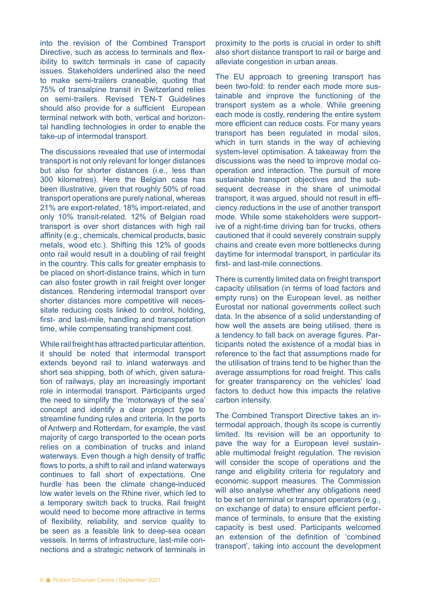into the revision of the Combined Transport Directive, such as access to terminals and flexibility to switch terminals in case of capacity issues. Stakeholders underlined also the need to make semi-trailers craneable, quoting that 75% of transalpine transit in Switzerland relies on semi-trailers. Revised TEN-T Guidelines should also provide for a sufficient European terminal network with both, vertical and horizontal handling technologies in order to enable the take-up of intermodal transport.

The discussions revealed that use of intermodal transport is not only relevant for longer distances but also for shorter distances (i.e., less than 300 kilometres). Here the Belgian case has been illustrative, given that roughly 50% of road transport operations are purely national, whereas 21% are export-related, 18% import-related, and only 10% transit-related. 12% of Belgian road transport is over short distances with high rail affinity (e.g., chemicals, chemical products, basic metals, wood etc.). Shifting this 12% of goods onto rail would result in a doubling of rail freight in the country. This calls for greater emphasis to be placed on short-distance trains, which in turn can also foster growth in rail freight over longer distances. Rendering intermodal transport over shorter distances more competitive will necessitate reducing costs linked to control, holding, first- and last-mile, handling and transportation time, while compensating transhipment cost.

While rail freight has attracted particular attention, it should be noted that intermodal transport extends beyond rail to inland waterways and short sea shipping, both of which, given saturation of railways, play an increasingly important role in intermodal transport. Participants urged the need to simplify the 'motorways of the sea' concept and identify a clear project type to streamline funding rules and criteria. In the ports of Antwerp and Rotterdam, for example, the vast majority of cargo transported to the ocean ports relies on a combination of trucks and inland waterways. Even though a high density of traffic flows to ports, a shift to rail and inland waterways continues to fall short of expectations. One hurdle has been the climate change-induced low water levels on the Rhine river, which led to a temporary switch back to trucks. Rail freight would need to become more attractive in terms of flexibility, reliability, and service quality to be seen as a feasible link to deep-sea ocean vessels. In terms of infrastructure, last-mile connections and a strategic network of terminals in

proximity to the ports is crucial in order to shift also short distance transport to rail or barge and alleviate congestion in urban areas.

The EU approach to greening transport has been two-fold: to render each mode more sustainable and improve the functioning of the transport system as a whole. While greening each mode is costly, rendering the entire system more efficient can reduce costs. For many years transport has been regulated in modal silos, which in turn stands in the way of achieving system-level optimisation. A takeaway from the discussions was the need to improve modal cooperation and interaction. The pursuit of more sustainable transport objectives and the subsequent decrease in the share of unimodal transport, it was argued, should not result in efficiency reductions in the use of another transport mode. While some stakeholders were supportive of a night-time driving ban for trucks, others cautioned that it could severely constrain supply chains and create even more bottlenecks during daytime for intermodal transport, in particular its first- and last-mile connections.

There is currently limited data on freight transport capacity utilisation (in terms of load factors and empty runs) on the European level, as neither Eurostat nor national governments collect such data. In the absence of a solid understanding of how well the assets are being utilised, there is a tendency to fall back on average figures. Participants noted the existence of a modal bias in reference to the fact that assumptions made for the utilisation of trains tend to be higher than the average assumptions for road freight. This calls for greater transparency on the vehicles' load factors to deduct how this impacts the relative carbon intensity.

The Combined Transport Directive takes an intermodal approach, though its scope is currently limited. Its revision will be an opportunity to pave the way for a European level sustainable multimodal freight regulation. The revision will consider the scope of operations and the range and eligibility criteria for regulatory and economic support measures. The Commission will also analyse whether any obligations need to be set on terminal or transport operators (e.g., on exchange of data) to ensure efficient performance of terminals, to ensure that the existing capacity is best used. Participants welcomed an extension of the definition of 'combined transport', taking into account the development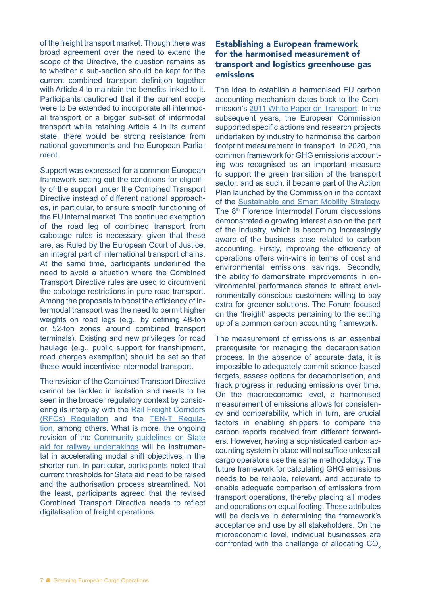of the freight transport market. Though there was broad agreement over the need to extend the scope of the Directive, the question remains as to whether a sub-section should be kept for the current combined transport definition together with Article 4 to maintain the benefits linked to it. Participants cautioned that if the current scope were to be extended to incorporate all intermodal transport or a bigger sub-set of intermodal transport while retaining Article 4 in its current state, there would be strong resistance from national governments and the European Parliament.

Support was expressed for a common European framework setting out the conditions for eligibility of the support under the Combined Transport Directive instead of different national approaches, in particular, to ensure smooth functioning of the EU internal market. The continued exemption of the road leg of combined transport from cabotage rules is necessary, given that these are, as Ruled by the European Court of Justice, an integral part of international transport chains. At the same time, participants underlined the need to avoid a situation where the Combined Transport Directive rules are used to circumvent the cabotage restrictions in pure road transport. Among the proposals to boost the efficiency of intermodal transport was the need to permit higher weights on road legs (e.g., by defining 48-ton or 52-ton zones around combined transport terminals). Existing and new privileges for road haulage (e.g., public support for transhipment, road charges exemption) should be set so that these would incentivise intermodal transport.

The revision of the Combined Transport Directive cannot be tackled in isolation and needs to be seen in the broader regulatory context by considering its interplay with the [Rail Freight Corridors](https://ec.europa.eu/transport/modes/rail/infrastructures/rail_freight_oriented_network_en)  [\(RFCs\) Regulation](https://ec.europa.eu/transport/modes/rail/infrastructures/rail_freight_oriented_network_en) and the [TEN-T Regula](https://ec.europa.eu/transport/themes/infrastructure/ten-t_en)[tion](https://ec.europa.eu/transport/themes/infrastructure/ten-t_en), among others. What is more, the ongoing revision of the [Community guidelines on State](https://eur-lex.europa.eu/legal-content/EN/TXT/?uri=celex%3A52008XC0722%2804%29)  [aid for railway undertakings](https://eur-lex.europa.eu/legal-content/EN/TXT/?uri=celex%3A52008XC0722%2804%29) will be instrumental in accelerating modal shift objectives in the shorter run. In particular, participants noted that current thresholds for State aid need to be raised and the authorisation process streamlined. Not the least, participants agreed that the revised Combined Transport Directive needs to reflect digitalisation of freight operations.

# Establishing a European framework for the harmonised measurement of transport and logistics greenhouse gas emissions

The idea to establish a harmonised EU carbon accounting mechanism dates back to the Commission's [2011 White Paper on Transport.](https://ec.europa.eu/transport/themes/european-strategies/white-paper-2011_en) In the subsequent years, the European Commission supported specific actions and research projects undertaken by industry to harmonise the carbon footprint measurement in transport. In 2020, the common framework for GHG emissions accounting was recognised as an important measure to support the green transition of the transport sector, and as such, it became part of the Action Plan launched by the Commission in the context of the [Sustainable and Smart Mobility Strategy.](https://ec.europa.eu/transport/themes/mobilitystrategy_en) The 8<sup>th</sup> Florence Intermodal Forum discussions demonstrated a growing interest also on the part of the industry, which is becoming increasingly aware of the business case related to carbon accounting. Firstly, improving the efficiency of operations offers win-wins in terms of cost and environmental emissions savings. Secondly, the ability to demonstrate improvements in environmental performance stands to attract environmentally-conscious customers willing to pay extra for greener solutions. The Forum focused on the 'freight' aspects pertaining to the setting up of a common carbon accounting framework.

The measurement of emissions is an essential prerequisite for managing the decarbonisation process. In the absence of accurate data, it is impossible to adequately commit science-based targets, assess options for decarbonisation, and track progress in reducing emissions over time. On the macroeconomic level, a harmonised measurement of emissions allows for consistency and comparability, which in turn, are crucial factors in enabling shippers to compare the carbon reports received from different forwarders. However, having a sophisticated carbon accounting system in place will not suffice unless all cargo operators use the same methodology. The future framework for calculating GHG emissions needs to be reliable, relevant, and accurate to enable adequate comparison of emissions from transport operations, thereby placing all modes and operations on equal footing. These attributes will be decisive in determining the framework's acceptance and use by all stakeholders. On the microeconomic level, individual businesses are confronted with the challenge of allocating CO<sub>2</sub>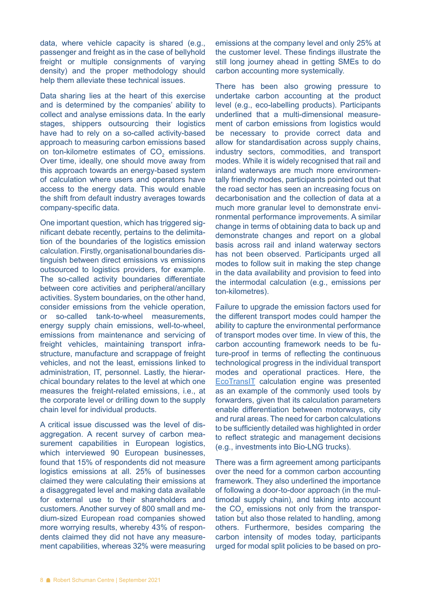data, where vehicle capacity is shared (e.g., passenger and freight as in the case of bellyhold freight or multiple consignments of varying density) and the proper methodology should help them alleviate these technical issues.

Data sharing lies at the heart of this exercise and is determined by the companies' ability to collect and analyse emissions data. In the early stages, shippers outsourcing their logistics have had to rely on a so-called activity-based approach to measuring carbon emissions based on ton-kilometre estimates of  $CO<sub>2</sub>$  emissions. Over time, ideally, one should move away from this approach towards an energy-based system of calculation where users and operators have access to the energy data. This would enable the shift from default industry averages towards company-specific data.

One important question, which has triggered significant debate recently, pertains to the delimitation of the boundaries of the logistics emission calculation. Firstly, organisational boundaries distinguish between direct emissions vs emissions outsourced to logistics providers, for example. The so-called activity boundaries differentiate between core activities and peripheral/ancillary activities. System boundaries, on the other hand, consider emissions from the vehicle operation, or so-called tank-to-wheel measurements, energy supply chain emissions, well-to-wheel, emissions from maintenance and servicing of freight vehicles, maintaining transport infrastructure, manufacture and scrappage of freight vehicles, and not the least, emissions linked to administration, IT, personnel. Lastly, the hierarchical boundary relates to the level at which one measures the freight-related emissions, i.e., at the corporate level or drilling down to the supply chain level for individual products.

A critical issue discussed was the level of disaggregation. A recent survey of carbon measurement capabilities in European logistics, which interviewed 90 European businesses, found that 15% of respondents did not measure logistics emissions at all. 25% of businesses claimed they were calculating their emissions at a disaggregated level and making data available for external use to their shareholders and customers. Another survey of 800 small and medium-sized European road companies showed more worrying results, whereby 43% of respondents claimed they did not have any measurement capabilities, whereas 32% were measuring

emissions at the company level and only 25% at the customer level. These findings illustrate the still long journey ahead in getting SMEs to do carbon accounting more systemically.

There has been also growing pressure to undertake carbon accounting at the product level (e.g., eco-labelling products). Participants underlined that a multi-dimensional measurement of carbon emissions from logistics would be necessary to provide correct data and allow for standardisation across supply chains, industry sectors, commodities, and transport modes. While it is widely recognised that rail and inland waterways are much more environmentally friendly modes, participants pointed out that the road sector has seen an increasing focus on decarbonisation and the collection of data at a much more granular level to demonstrate environmental performance improvements. A similar change in terms of obtaining data to back up and demonstrate changes and report on a global basis across rail and inland waterway sectors has not been observed. Participants urged all modes to follow suit in making the step change in the data availability and provision to feed into the intermodal calculation (e.g., emissions per ton-kilometres).

Failure to upgrade the emission factors used for the different transport modes could hamper the ability to capture the environmental performance of transport modes over time. In view of this, the carbon accounting framework needs to be future-proof in terms of reflecting the continuous technological progress in the individual transport modes and operational practices. Here, the [EcoTransIT](https://www.ecotransit.org/en/) calculation engine was presented as an example of the commonly used tools by forwarders, given that its calculation parameters enable differentiation between motorways, city and rural areas. The need for carbon calculations to be sufficiently detailed was highlighted in order to reflect strategic and management decisions (e.g., investments into Bio-LNG trucks).

There was a firm agreement among participants over the need for a common carbon accounting framework. They also underlined the importance of following a door-to-door approach (in the multimodal supply chain), and taking into account the  $CO<sub>2</sub>$  emissions not only from the transportation but also those related to handling, among others. Furthermore, besides comparing the carbon intensity of modes today, participants urged for modal split policies to be based on pro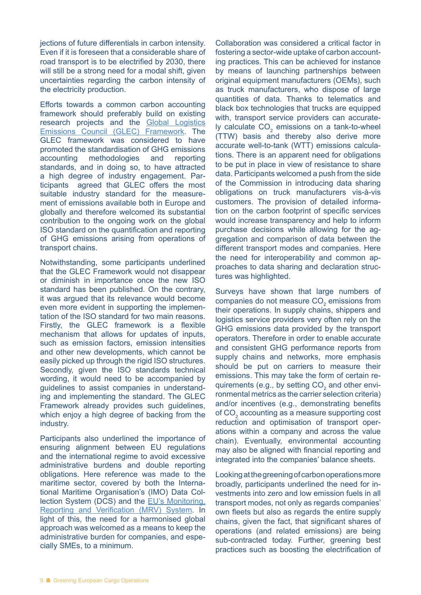jections of future differentials in carbon intensity. Even if it is foreseen that a considerable share of road transport is to be electrified by 2030, there will still be a strong need for a modal shift, given uncertainties regarding the carbon intensity of the electricity production.

Efforts towards a common carbon accounting framework should preferably build on existing research projects and the [Global Logistics](https://www.smartfreightcentre.org/en/how-to-implement-items/what-is-glec-framework/58/)  [Emissions Council \(GLEC\) Framework.](https://www.smartfreightcentre.org/en/how-to-implement-items/what-is-glec-framework/58/) The GLEC framework was considered to have promoted the standardisation of GHG emissions accounting methodologies and reporting standards, and in doing so, to have attracted a high degree of industry engagement. Participants agreed that GLEC offers the most suitable industry standard for the measurement of emissions available both in Europe and globally and therefore welcomed its substantial contribution to the ongoing work on the global ISO standard on the quantification and reporting of GHG emissions arising from operations of transport chains.

Notwithstanding, some participants underlined that the GLEC Framework would not disappear or diminish in importance once the new ISO standard has been published. On the contrary, it was argued that its relevance would become even more evident in supporting the implementation of the ISO standard for two main reasons. Firstly, the GLEC framework is a flexible mechanism that allows for updates of inputs, such as emission factors, emission intensities and other new developments, which cannot be easily picked up through the rigid ISO structures. Secondly, given the ISO standards technical wording, it would need to be accompanied by guidelines to assist companies in understanding and implementing the standard. The GLEC Framework already provides such guidelines, which enjoy a high degree of backing from the industry.

Participants also underlined the importance of ensuring alignment between EU regulations and the international regime to avoid excessive administrative burdens and double reporting obligations. Here reference was made to the maritime sector, covered by both the International Maritime Organisation's (IMO) Data Collection System (DCS) and the [EU's Monitoring,](https://eur-lex.europa.eu/legal-content/EN/TXT/?uri=CELEX:02015R0757-20161216)  [Reporting and Verification \(MRV\) System.](https://eur-lex.europa.eu/legal-content/EN/TXT/?uri=CELEX:02015R0757-20161216) In light of this, the need for a harmonised global approach was welcomed as a means to keep the administrative burden for companies, and especially SMEs, to a minimum.

Collaboration was considered a critical factor in fostering a sector-wide uptake of carbon accounting practices. This can be achieved for instance by means of launching partnerships between original equipment manufacturers (OEMs), such as truck manufacturers, who dispose of large quantities of data. Thanks to telematics and black box technologies that trucks are equipped with, transport service providers can accurately calculate  $CO<sub>2</sub>$  emissions on a tank-to-wheel (TTW) basis and thereby also derive more accurate well-to-tank (WTT) emissions calculations. There is an apparent need for obligations to be put in place in view of resistance to share data. Participants welcomed a push from the side of the Commission in introducing data sharing obligations on truck manufacturers vis-à-vis customers. The provision of detailed information on the carbon footprint of specific services would increase transparency and help to inform purchase decisions while allowing for the aggregation and comparison of data between the different transport modes and companies. Here the need for interoperability and common approaches to data sharing and declaration structures was highlighted.

Surveys have shown that large numbers of companies do not measure  $CO<sub>2</sub>$  emissions from their operations. In supply chains, shippers and logistics service providers very often rely on the GHG emissions data provided by the transport operators. Therefore in order to enable accurate and consistent GHG performance reports from supply chains and networks, more emphasis should be put on carriers to measure their emissions. This may take the form of certain requirements (e.g., by setting  $CO<sub>2</sub>$  and other environmental metrics as the carrier selection criteria) and/or incentives (e.g., demonstrating benefits of  $CO<sub>2</sub>$  accounting as a measure supporting cost reduction and optimisation of transport operations within a company and across the value chain). Eventually, environmental accounting may also be aligned with financial reporting and integrated into the companies' balance sheets.

Looking at the greening of carbon operations more broadly, participants underlined the need for investments into zero and low emission fuels in all transport modes, not only as regards companies' own fleets but also as regards the entire supply chains, given the fact, that significant shares of operations (and related emissions) are being sub-contracted today. Further, greening best practices such as boosting the electrification of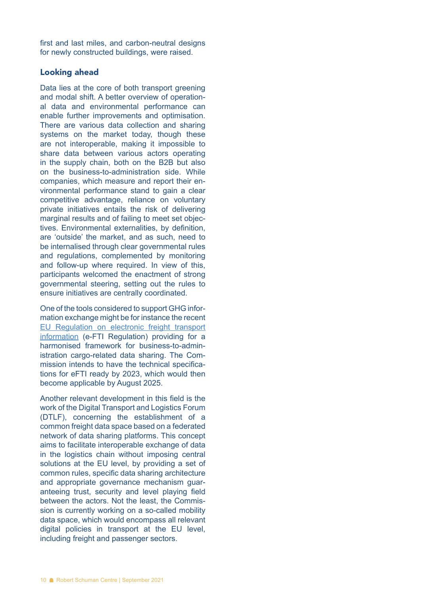first and last miles, and carbon-neutral designs for newly constructed buildings, were raised.

#### Looking ahead

Data lies at the core of both transport greening and modal shift. A better overview of operational data and environmental performance can enable further improvements and optimisation. There are various data collection and sharing systems on the market today, though these are not interoperable, making it impossible to share data between various actors operating in the supply chain, both on the B2B but also on the business-to-administration side. While companies, which measure and report their environmental performance stand to gain a clear competitive advantage, reliance on voluntary private initiatives entails the risk of delivering marginal results and of failing to meet set objectives. Environmental externalities, by definition, are 'outside' the market, and as such, need to be internalised through clear governmental rules and regulations, complemented by monitoring and follow-up where required. In view of this, participants welcomed the enactment of strong governmental steering, setting out the rules to ensure initiatives are centrally coordinated.

One of the tools considered to support GHG information exchange might be for instance the recent [EU Regulation on electronic freight transport](https://eur-lex.europa.eu/legal-content/EN/TXT/?qid=1599226383488&uri=CELEX:32020R1056)  [information](https://eur-lex.europa.eu/legal-content/EN/TXT/?qid=1599226383488&uri=CELEX:32020R1056) (e-FTI Regulation) providing for a harmonised framework for business-to-administration cargo-related data sharing. The Commission intends to have the technical specifications for eFTI ready by 2023, which would then become applicable by August 2025.

Another relevant development in this field is the work of the Digital Transport and Logistics Forum (DTLF), concerning the establishment of a common freight data space based on a federated network of data sharing platforms. This concept aims to facilitate interoperable exchange of data in the logistics chain without imposing central solutions at the EU level, by providing a set of common rules, specific data sharing architecture and appropriate governance mechanism guaranteeing trust, security and level playing field between the actors. Not the least, the Commission is currently working on a so-called mobility data space, which would encompass all relevant digital policies in transport at the EU level, including freight and passenger sectors.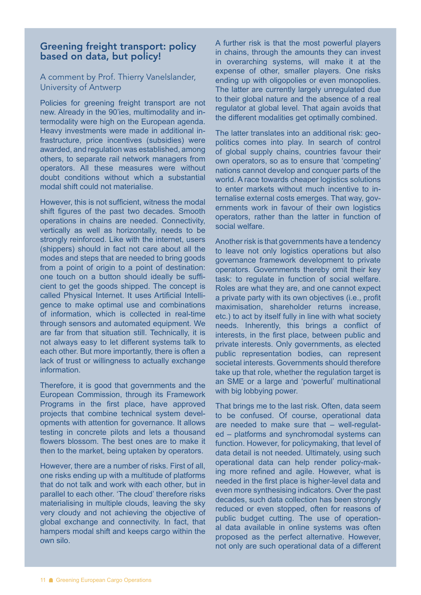# Greening freight transport: policy based on data, but policy!

A comment by Prof. Thierry Vanelslander, University of Antwerp

Policies for greening freight transport are not new. Already in the 90'ies, multimodality and intermodality were high on the European agenda. Heavy investments were made in additional infrastructure, price incentives (subsidies) were awarded, and regulation was established, among others, to separate rail network managers from operators. All these measures were without doubt conditions without which a substantial modal shift could not materialise.

However, this is not sufficient, witness the modal shift figures of the past two decades. Smooth operations in chains are needed. Connectivity, vertically as well as horizontally, needs to be strongly reinforced. Like with the internet, users (shippers) should in fact not care about all the modes and steps that are needed to bring goods from a point of origin to a point of destination: one touch on a button should ideally be sufficient to get the goods shipped. The concept is called Physical Internet. It uses Artificial Intelligence to make optimal use and combinations of information, which is collected in real-time through sensors and automated equipment. We are far from that situation still. Technically, it is not always easy to let different systems talk to each other. But more importantly, there is often a lack of trust or willingness to actually exchange information.

Therefore, it is good that governments and the European Commission, through its Framework Programs in the first place, have approved projects that combine technical system developments with attention for governance. It allows testing in concrete pilots and lets a thousand flowers blossom. The best ones are to make it then to the market, being uptaken by operators.

However, there are a number of risks. First of all, one risks ending up with a multitude of platforms that do not talk and work with each other, but in parallel to each other. 'The cloud' therefore risks materialising in multiple clouds, leaving the sky very cloudy and not achieving the objective of global exchange and connectivity. In fact, that hampers modal shift and keeps cargo within the own silo.

A further risk is that the most powerful players in chains, through the amounts they can invest in overarching systems, will make it at the expense of other, smaller players. One risks ending up with oligopolies or even monopolies. The latter are currently largely unregulated due to their global nature and the absence of a real regulator at global level. That again avoids that the different modalities get optimally combined.

The latter translates into an additional risk: geopolitics comes into play. In search of control of global supply chains, countries favour their own operators, so as to ensure that 'competing' nations cannot develop and conquer parts of the world. A race towards cheaper logistics solutions to enter markets without much incentive to internalise external costs emerges. That way, governments work in favour of their own logistics operators, rather than the latter in function of social welfare.

Another risk is that governments have a tendency to leave not only logistics operations but also governance framework development to private operators. Governments thereby omit their key task: to regulate in function of social welfare. Roles are what they are, and one cannot expect a private party with its own objectives (i.e., profit maximisation, shareholder returns increase, etc.) to act by itself fully in line with what society needs. Inherently, this brings a conflict of interests, in the first place, between public and private interests. Only governments, as elected public representation bodies, can represent societal interests. Governments should therefore take up that role, whether the regulation target is an SME or a large and 'powerful' multinational with big lobbying power.

That brings me to the last risk. Often, data seem to be confused. Of course, operational data are needed to make sure that – well-regulated – platforms and synchromodal systems can function. However, for policymaking, that level of data detail is not needed. Ultimately, using such operational data can help render policy-making more refined and agile. However, what is needed in the first place is higher-level data and even more synthesising indicators. Over the past decades, such data collection has been strongly reduced or even stopped, often for reasons of public budget cutting. The use of operational data available in online systems was often proposed as the perfect alternative. However, not only are such operational data of a different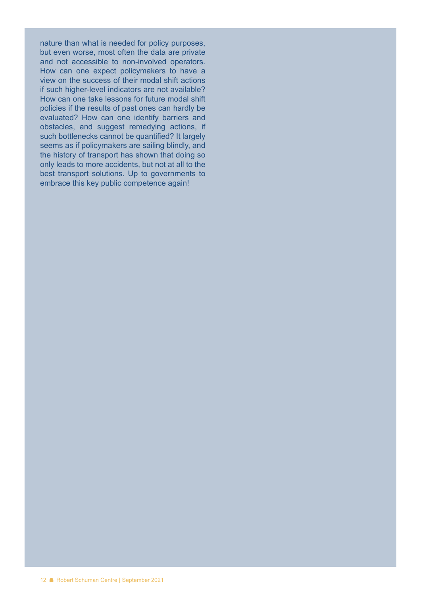nature than what is needed for policy purposes, but even worse, most often the data are private and not accessible to non-involved operators. How can one expect policymakers to have a view on the success of their modal shift actions if such higher-level indicators are not available? How can one take lessons for future modal shift policies if the results of past ones can hardly be evaluated? How can one identify barriers and obstacles, and suggest remedying actions, if such bottlenecks cannot be quantified? It largely seems as if policymakers are sailing blindly, and the history of transport has shown that doing so only leads to more accidents, but not at all to the best transport solutions. Up to governments to embrace this key public competence again!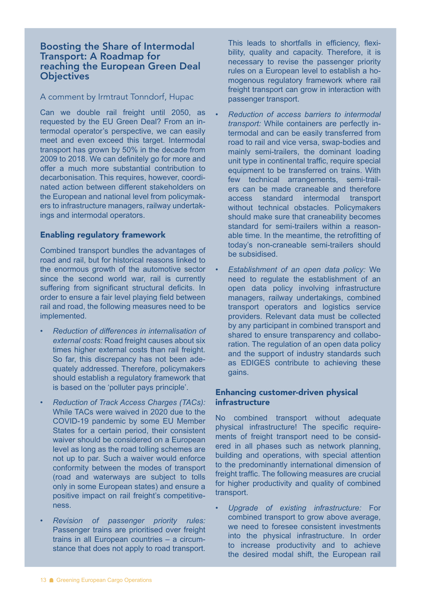## Boosting the Share of Intermodal Transport: A Roadmap for reaching the European Green Deal **Objectives**

#### A comment by Irmtraut Tonndorf, Hupac

Can we double rail freight until 2050, as requested by the EU Green Deal? From an intermodal operator's perspective, we can easily meet and even exceed this target. Intermodal transport has grown by 50% in the decade from 2009 to 2018. We can definitely go for more and offer a much more substantial contribution to decarbonisation. This requires, however, coordinated action between different stakeholders on the European and national level from policymakers to infrastructure managers, railway undertakings and intermodal operators.

#### Enabling regulatory framework

Combined transport bundles the advantages of road and rail, but for historical reasons linked to the enormous growth of the automotive sector since the second world war, rail is currently suffering from significant structural deficits. In order to ensure a fair level playing field between rail and road, the following measures need to be implemented.

- *Reduction of differences in internalisation of external costs:* Road freight causes about six times higher external costs than rail freight. So far, this discrepancy has not been adequately addressed. Therefore, policymakers should establish a regulatory framework that is based on the 'polluter pays principle'.
- *Reduction of Track Access Charges (TACs):* While TACs were waived in 2020 due to the COVID-19 pandemic by some EU Member States for a certain period, their consistent waiver should be considered on a European level as long as the road tolling schemes are not up to par. Such a waiver would enforce conformity between the modes of transport (road and waterways are subject to tolls only in some European states) and ensure a positive impact on rail freight's competitiveness.
- *Revision of passenger priority rules:* Passenger trains are prioritised over freight trains in all European countries – a circumstance that does not apply to road transport.

This leads to shortfalls in efficiency, flexibility, quality and capacity. Therefore, it is necessary to revise the passenger priority rules on a European level to establish a homogenous regulatory framework where rail freight transport can grow in interaction with passenger transport.

- *Reduction of access barriers to intermodal transport:* While containers are perfectly intermodal and can be easily transferred from road to rail and vice versa, swap-bodies and mainly semi-trailers, the dominant loading unit type in continental traffic, require special equipment to be transferred on trains. With few technical arrangements, semi-trailers can be made craneable and therefore access standard intermodal transport without technical obstacles. Policymakers should make sure that craneability becomes standard for semi-trailers within a reasonable time. In the meantime, the retrofitting of today's non-craneable semi-trailers should be subsidised.
- *Establishment of an open data policy:* We need to regulate the establishment of an open data policy involving infrastructure managers, railway undertakings, combined transport operators and logistics service providers. Relevant data must be collected by any participant in combined transport and shared to ensure transparency and collaboration. The regulation of an open data policy and the support of industry standards such as EDIGES contribute to achieving these gains.

#### Enhancing customer-driven physical infrastructure

No combined transport without adequate physical infrastructure! The specific requirements of freight transport need to be considered in all phases such as network planning, building and operations, with special attention to the predominantly international dimension of freight traffic. The following measures are crucial for higher productivity and quality of combined transport.

• *Upgrade of existing infrastructure:* For combined transport to grow above average, we need to foresee consistent investments into the physical infrastructure. In order to increase productivity and to achieve the desired modal shift, the European rail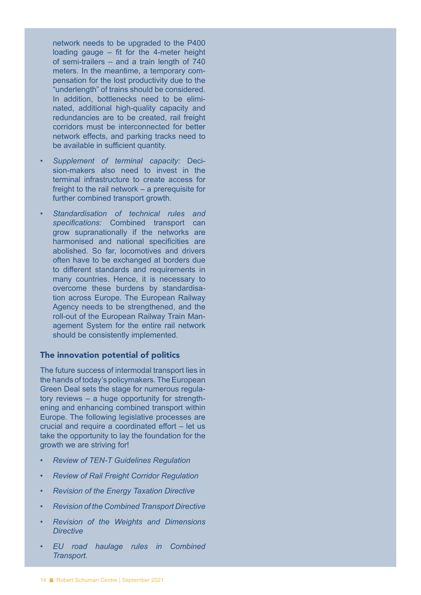network needs to be upgraded to the P400 loading gauge – fit for the 4-meter height of semi-trailers – and a train length of 740 meters. In the meantime, a temporary compensation for the lost productivity due to the "underlength" of trains should be considered. In addition, bottlenecks need to be eliminated, additional high-quality capacity and redundancies are to be created, rail freight corridors must be interconnected for better network effects, and parking tracks need to be available in sufficient quantity.

- *Supplement of terminal capacity:* Decision-makers also need to invest in the terminal infrastructure to create access for freight to the rail network – a prerequisite for further combined transport growth.
- *Standardisation of technical rules and specifications:* Combined transport can grow supranationally if the networks are harmonised and national specificities are abolished. So far, locomotives and drivers often have to be exchanged at borders due to different standards and requirements in many countries. Hence, it is necessary to overcome these burdens by standardisation across Europe. The European Railway Agency needs to be strengthened, and the roll-out of the European Railway Train Management System for the entire rail network should be consistently implemented.

#### The innovation potential of politics

The future success of intermodal transport lies in the hands of today's policymakers. The European Green Deal sets the stage for numerous regulatory reviews – a huge opportunity for strengthening and enhancing combined transport within Europe. The following legislative processes are crucial and require a coordinated effort – let us take the opportunity to lay the foundation for the growth we are striving for!

- *Review of TEN-T Guidelines Regulation*
- *Review of Rail Freight Corridor Regulation*
- *Revision of the Energy Taxation Directive*
- *Revision of the Combined Transport Directive*
- *Revision of the Weights and Dimensions Directive*
- *EU road haulage rules in Combined Transport.*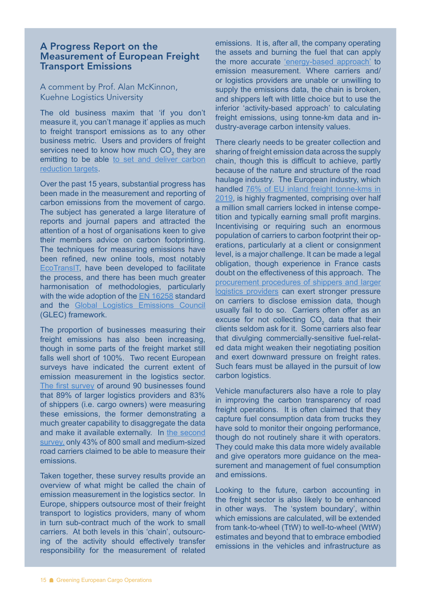# A Progress Report on the Measurement of European Freight Transport Emissions

A comment by Prof. Alan McKinnon, Kuehne Logistics University

The old business maxim that 'if you don't measure it, you can't manage it' applies as much to freight transport emissions as to any other business metric. Users and providers of freight services need to know how much  $\text{CO}_2$  they are emitting to be able to set and deliver carbon [reduction targets](https://www.koganpage.com/product/decarbonising-logistics-9780749483807).

Over the past 15 years, substantial progress has been made in the measurement and reporting of carbon emissions from the movement of cargo. The subject has generated a large literature of reports and journal papers and attracted the attention of a host of organisations keen to give their members advice on carbon footprinting. The techniques for measuring emissions have been refined, new online tools, most notably [EcoTransIT,](https://www.ecotransit.org/en/) have been developed to facilitate the process, and there has been much greater harmonisation of methodologies, particularly with the wide adoption of the **EN 16258** standard and the [Global Logistics Emissions Council](https://www.smartfreightcentre.org/en/how-to-implement-items/what-is-glec-framework/58/) (GLEC) framework.

The proportion of businesses measuring their freight emissions has also been increasing, though in some parts of the freight market still falls well short of 100%. Two recent European surveys have indicated the current extent of emission measurement in the logistics sector. [The first survey](https://www.the-klu.org/landingpages/sustainability-study/) of around 90 businesses found that 89% of larger logistics providers and 83% of shippers (i.e. cargo owners) were measuring these emissions, the former demonstrating a much greater capability to disaggregate the data and make it available externally. In [the second](https://www.the-klu.org/landingpages/smestudy/)  [survey](https://www.the-klu.org/landingpages/smestudy/), only 43% of 800 small and medium-sized road carriers claimed to be able to measure their emissions.

Taken together, these survey results provide an overview of what might be called the chain of emission measurement in the logistics sector. In Europe, shippers outsource most of their freight transport to logistics providers, many of whom in turn sub-contract much of the work to small carriers. At both levels in this 'chain', outsourcing of the activity should effectively transfer responsibility for the measurement of related

emissions. It is, after all, the company operating the assets and burning the fuel that can apply the more accurate ['energy-based approach'](https://cefic.org/app/uploads/2018/12/MeasuringAndManagingCO2EmissionOfEuropeanTransport-McKinnon-24.01.2011-REPORT_TRANSPORT_AND_LOGISTICS.pdf) to emission measurement. Where carriers and/ or logistics providers are unable or unwilling to supply the emissions data, the chain is broken, and shippers left with little choice but to use the inferior 'activity-based approach' to calculating freight emissions, using tonne-km data and industry-average carbon intensity values.

There clearly needs to be greater collection and sharing of freight emission data across the supply chain, though this is difficult to achieve, partly because of the nature and structure of the road haulage industry. The European industry, which handled 76% of EU inland freight tonne-kms in [2019](https://ec.europa.eu/eurostat/statistics-explained/index.php?title=Freight_transport_statistics_-_modal_split&oldid=529608), is highly fragmented, comprising over half a million small carriers locked in intense competition and typically earning small profit margins. Incentivising or requiring such an enormous population of carriers to carbon footprint their operations, particularly at a client or consignment level, is a major challenge. It can be made a legal obligation, though experience in France casts doubt on the effectiveness of this approach. The [procurement procedures of shippers and larger](https://www.smartfreightcentre.org/en/news/new-sustainable-freight-procurement-tools-support-companies-to-reduce-climate-impact-from-freight/875/)  [logistics providers](https://www.smartfreightcentre.org/en/news/new-sustainable-freight-procurement-tools-support-companies-to-reduce-climate-impact-from-freight/875/) can exert stronger pressure on carriers to disclose emission data, though usually fail to do so. Carriers often offer as an excuse for not collecting  $CO<sub>2</sub>$  data that their clients seldom ask for it. Some carriers also fear that divulging commercially-sensitive fuel-related data might weaken their negotiating position and exert downward pressure on freight rates. Such fears must be allayed in the pursuit of low carbon logistics.

Vehicle manufacturers also have a role to play in improving the carbon transparency of road freight operations. It is often claimed that they capture fuel consumption data from trucks they have sold to monitor their ongoing performance, though do not routinely share it with operators. They could make this data more widely available and give operators more guidance on the measurement and management of fuel consumption and emissions.

Looking to the future, carbon accounting in the freight sector is also likely to be enhanced in other ways. The 'system boundary', within which emissions are calculated, will be extended from tank-to-wheel (TtW) to well-to-wheel (WtW) estimates and beyond that to embrace embodied emissions in the vehicles and infrastructure as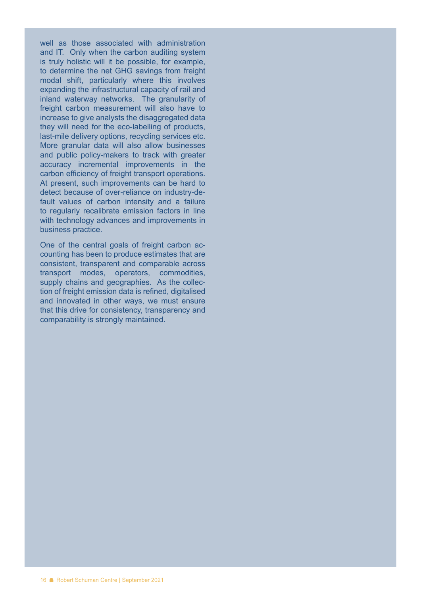well as those associated with administration and IT. Only when the carbon auditing system is truly holistic will it be possible, for example, to determine the net GHG savings from freight modal shift, particularly where this involves expanding the infrastructural capacity of rail and inland waterway networks. The granularity of freight carbon measurement will also have to increase to give analysts the disaggregated data they will need for the eco-labelling of products, last-mile delivery options, recycling services etc. More granular data will also allow businesses and public policy-makers to track with greater accuracy incremental improvements in the carbon efficiency of freight transport operations. At present, such improvements can be hard to detect because of over-reliance on industry-default values of carbon intensity and a failure to regularly recalibrate emission factors in line with technology advances and improvements in business practice.

One of the central goals of freight carbon accounting has been to produce estimates that are consistent, transparent and comparable across transport modes, operators, commodities, supply chains and geographies. As the collection of freight emission data is refined, digitalised and innovated in other ways, we must ensure that this drive for consistency, transparency and comparability is strongly maintained.